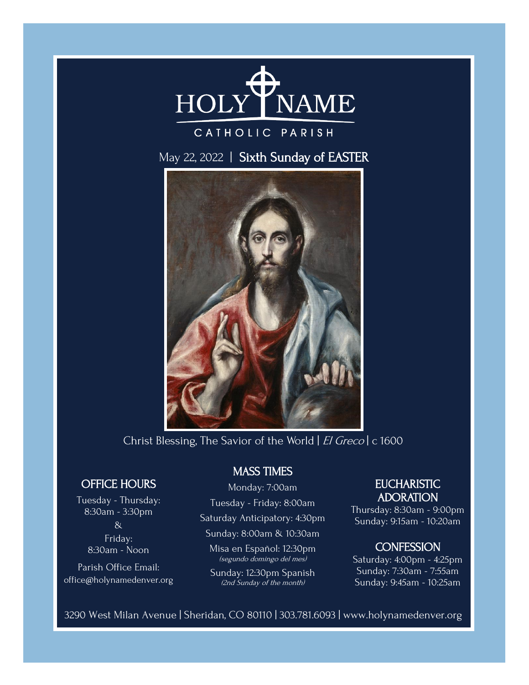

# CATHOLIC PARISH

## May 22, 2022 | Sixth Sunday of EASTER



Christ Blessing, The Savior of the World | El Greco | c 1600

### OFFICE HOURS

Tuesday - Thursday: 8:30am - 3:30pm & Friday: 8:30am - Noon

Parish Office Email: office@holynamedenver.org

#### MASS TIMES

### Monday: 7:00am

Tuesday - Friday: 8:00am

Saturday Anticipatory: 4:30pm

Sunday: 8:00am & 10:30am

Misa en Español: 12:30pm (segundo domingo del mes)

Sunday: 12:30pm Spanish (2nd Sunday of the month)

#### **EUCHARISTIC** ADORATION

Thursday: 8:30am - 9:00pm Sunday: 9:15am - 10:20am

#### **CONFESSION**

Saturday: 4:00pm - 4:25pm Sunday: 7:30am - 7:55am Sunday: 9:45am - 10:25am

3290 West Milan Avenue | Sheridan, CO 80110 | 303.781.6093 | www.holynamedenver.org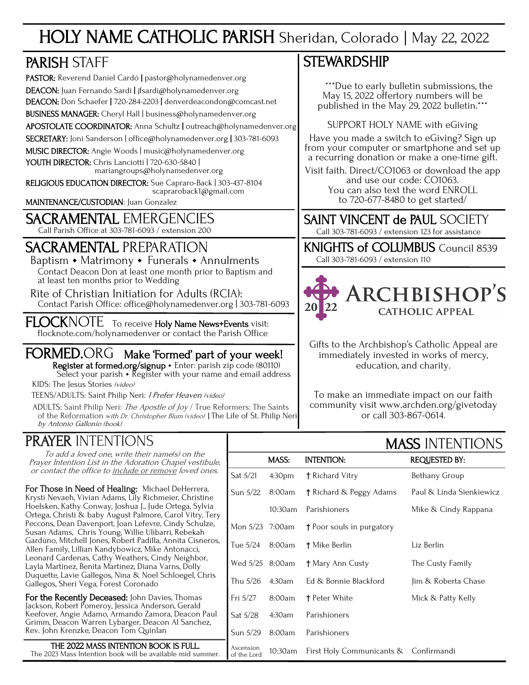# HOLY NAME CATHOLIC PARISH Sheridan, Colorado | May 22, 2022

# PARISH STAFF

PASTOR: Reverend Daniel Cardó | pastor@holynamedenver.org DEACON: Juan Fernando Sardi | jfsardi@holynamedenver.org DEACON: Don Schaefer | 720-284-2203 | denverdeacondon@comcast.net BUSINESS MANAGER: Cheryl Hall | business@holynamedenver.org APOSTOLATE COORDINATOR: Anna Schultz | outreach@holynamedenver.org SECRETARY: Joni Sanderson | office@holynamedenver.org | 303-781-6093 MUSIC DIRECTOR: Angie Woods | music@holynamedenver.org YOUTH DIRECTOR: Chris Lanciotti | 720-630-5840 | mariangroups@holynamedenver.org

RELIGIOUS EDUCATION DIRECTOR: Sue Capraro-Back | 303-437-8104 scapraroback1@gmail.com

MAINTENANCE/CUSTODIAN: Juan Gonzalez

# SACRAMENTAL EMERGENCIES

Call Parish Office at 303-781-6093 / extension 200

# SACRAMENTAL PREPARATION

Baptism • Matrimony • Funerals • Annulments Contact Deacon Don at least one month prior to Baptism and at least ten months prior to Wedding

 Rite of Christian Initiation for Adults (RCIA): Contact Parish Office: office@holynamedenver.org | 303-781-6093

FLOCKNOTE To receive Holy Name News+Events visit: flocknote.com/holynamedenver or contact the Parish Office

#### FORMED.ORG Make 'Formed' part of your week! Register at formed.org/signup · Enter: parish zip code (80110)

Select your parish  $\cdot$  Register with your name and email address KIDS: The Jesus Stories (video)

TEENS/ADULTS: Saint Philip Neri: *I Prefer Heaven (video)* 

ADULTS: Saint Philip Neri: The Apostle of Joy / True Reformers: The Saints of the Reformation with Dr. Christopher Blum (video) | The Life of St. Philip Neri by Antonio Gallonio (book)

# PRAYER INTENTIONS

# **STEWARDSHIP**

 \*\*\*Due to early bulletin submissions, the May 15, 2022 offertory numbers will be published in the May 29, 2022 bulletin.\*\*\*

SUPPORT HOLY NAME with eGiving

Have you made a switch to eGiving? Sign up from your computer or smartphone and set up a recurring donation or make a one-time gift.

Visit faith. Direct/CO1063 or download the app and use our code: CO1063. You can also text the word ENROLL to 720-677-8480 to get started/

SAINT VINCENT de PAUL SOCIETY

Call 303-781-6093 / extension 123 for assistance

KNIGHTS of COLUMBUS Council 8539 Call 303-781-6093 / extension 110

# **ARCHBISHOP'S CATHOLIC APPEAL**

Gifts to the Archbishop's Catholic Appeal are immediately invested in works of mercy, education, and charity.

To make an immediate impact on our faith community visit www.archden.org/givetoday or call 303-867-0614.

MACC INTENTIONIC

| <u>IV MEIN II VI LI VI I VI VI</u>                                                                                                                                                                                          | IVIAJJ INTENTIUNJ        |                    |                                       |                          |  |
|-----------------------------------------------------------------------------------------------------------------------------------------------------------------------------------------------------------------------------|--------------------------|--------------------|---------------------------------------|--------------------------|--|
| To add a loved one, write their name(s) on the<br>Prayer Intention List in the Adoration Chapel vestibule,                                                                                                                  |                          | MASS:              | <b>INTENTION:</b>                     | <b>REQUESTED BY:</b>     |  |
| or contact the office to <u>include or remove</u> loved ones.                                                                                                                                                               | Sat 5/21                 | 4:30 <sub>pm</sub> | † Richard Vitry                       | Bethany Group            |  |
| <b>pr Those in Need of Healing:</b> Michael DeHerrera,<br>rysti Nevaeh, Vivian Adams, Lily Richmeier, Christine                                                                                                             | Sun 5/22                 | 8:00am             | † Richard & Peggy Adams               | Paul & Linda Sienkiewicz |  |
| oelsken, Kathy Conway, Joshua J., Jude Ortega, Sylvia<br>rtega, Christi & baby August Palmore, Carol Vitry, Tery                                                                                                            |                          | 10:30am            | Parishioners                          | Mike & Cindy Rappana     |  |
| eccons, Dean Davenport, Joan Lefevre, Cindy Schulze,<br>usan Adams,  Chris Young, Willie Ulibarri, Rebekah<br>ardúno, Mitchell Jones, Robert Padilla, Annita Cisneros,<br>llen Family, Lillian Kandybowicz, Mike Antonacci, | Mon 5/23 7:00am          |                    | <sup>†</sup> Poor souls in purgatory  |                          |  |
|                                                                                                                                                                                                                             | Tue 5/24                 | 8:00am             | † Mike Berlin                         | Liz Berlin               |  |
| eonard Cardenas, Cathy Weathers, Cindy Neighbor,<br>ayla Martinez, Benita Martinez, Diana Varns, Dolly                                                                                                                      | Wed 5/25 8:00am          |                    | † Mary Ann Custy                      | The Custy Family         |  |
| uquette, Lavie Gallegos, Nina & Noel Schloegel, Chris<br>allegos, Sheri Vega, Forest Coronado                                                                                                                               | Thu 5/26                 | 4:30am             | Ed & Bonnie Blackford                 | Jim & Roberta Chase      |  |
| <b>or the Recently Deceased:</b> John Davies, Thomas<br>ckson, Robert Pomeroy, Jessica Anderson, Gerald                                                                                                                     | Fri 5/27                 | 8:00am             | <b>t</b> Peter White                  | Mick & Patty Kelly       |  |
| eefover, Angie Adamo, Armando Zamora, Deacon Paul<br>rimm, Deacon Warren Lybarger, Deacon Al Sanchez,                                                                                                                       | Sat 5/28                 | 4:30am             | Parishioners                          |                          |  |
| ev. John Krenzke, Deacon Tom Quinlan                                                                                                                                                                                        | Sun 5/29                 | 8:00am             | Parishioners                          |                          |  |
| THE 2022 MASS INTENTION BOOK IS FULL.<br>The 2023 Mass Intention book will be available mid summer.                                                                                                                         | Ascension<br>of the Lord | 10:30am            | First Holy Communicants & Confirmandi |                          |  |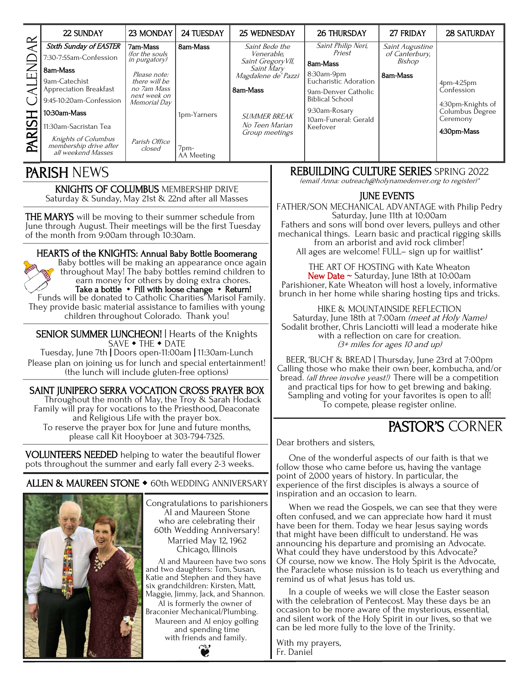| $\propto$                | 22 SUNDAY                                                           | 23 MONDAY                                 | 24 TUESDAY           | 25 WEDNESDAY                      | <b>26 THURSDAY</b>                            | 27 FRIDAY                         | <b>28 SATURDAY</b>       |
|--------------------------|---------------------------------------------------------------------|-------------------------------------------|----------------------|-----------------------------------|-----------------------------------------------|-----------------------------------|--------------------------|
|                          | <b>Sixth Sunday of EASTER</b>                                       | <b>7am-Mass</b><br><i>(for the souls)</i> | 8am-Mass             | Saint Bede the<br>Venerable.      | Saint Philip Neri,<br>Priest                  | Saint Augustine<br>of Canterbury, |                          |
|                          | 30-7:55am-Confession?                                               | in purgatory)                             |                      | Saint Gregory VII,                | 8am-Mass                                      | Bishop                            |                          |
|                          | 8am-Mass                                                            | Please note:                              |                      | Saint Mary<br>Magdalene de' Pazzi | 8:30am-9pm                                    | 8am-Mass                          |                          |
|                          | 9am-Catechist<br>Appreciation Breakfast                             | there will be<br>no 7am Mass              |                      | 8am-Mass                          | Eucharistic Adoration                         |                                   | 4pm-4:25pm<br>Confession |
|                          | 9:45-10:20am-Confession                                             | next week on<br>Memorial Day              |                      |                                   | 9am-Denver Catholic<br><b>Biblical School</b> |                                   | 4:30pm-Knights of        |
|                          | 10:30am-Mass                                                        |                                           | 1pm-Yarners          | <b>SUMMER BREAK</b>               | 9:30am-Rosary                                 |                                   | Columbus Degree          |
| $\overline{\bm{\omega}}$ | 11:30am-Sacristan Tea                                               |                                           |                      | No Teen Marian<br>Group meetings  | 10am-Funeral: Gerald<br>Keefover              |                                   | Ceremony<br>4:30pm-Mass  |
| PAR                      | Knights of Columbus<br>membership drive after<br>all weekend Masses | Parish Office<br>closed                   | $7pm-$<br>AA Meeting |                                   |                                               |                                   |                          |

KNIGHTS OF COLUMBUS MEMBERSHIP DRIVE Saturday & Sunday, May 21st & 22nd after all Masses

**THE MARYS** will be moving to their summer schedule from June through August. Their meetings will be the first Tuesday of the month from 9:00am through 10:30am. I

#### HEARTS of the KNIGHTS: Annual Baby Bottle Boomerang Baby bottles will be making an appearance once again

throughout May! The baby bottles remind children to earn money for others by doing extra chores. Take a bottle  $\cdot$  Fill with loose change  $\cdot$  Return!

Funds will be donated to Catholic Charities' Marisol Family. They provide basic material assistance to families with young children throughout Colorado. Thank you!

SENIOR SUMMER LUNCHEON! | Hearts of the Knights SAVE • THE • DATE

Tuesday, June 7th | Doors open-11:00am | 11:30am-Lunch Please plan on joining us for lunch and special entertainment! (the lunch will include gluten-free options)

#### SAINT JUNIPERO SERRA VOCATION CROSS PRAYER BOX

Throughout the month of May, the Troy & Sarah Hodack Family will pray for vocations to the Priesthood, Deaconate and Religious Life with the prayer box. To reserve the prayer box for June and future months, please call Kit Hooyboer at 303-794-7325.

VOLUNTEERS NEEDED helping to water the beautiful flower pots throughout the summer and early fall every 2-3 weeks.

ALLEN & MAUREEN STONE  $\bullet$  60th WEDDING ANNIVERSARY



Congratulations to parishioners Al and Maureen Stone who are celebrating their 60th Wedding Anniversary! Married May 12, 1962 Chicago, Illinois

Al and Maureen have two sons and two daughters: Tom, Susan, Katie and Stephen and they have six grandchildren: Kirsten, Matt, Maggie, Jimmy, Jack, and Shannon. Al is formerly the owner of Braconier Mechanical/Plumbing. Maureen and Al enjoy golfing and spending time with friends and family.



#### PARISH NEWS REBUILDING CULTURE SERIES SPRING 2022

(email Anna: outreach@holynamedenver.org to register)\*

#### JUNE EVENTS

FATHER/SON MECHANICAL ADVANTAGE with Philip Pedry Saturday, June 11th at 10:00am Fathers and sons will bond over levers, pulleys and other mechanical things. Learn basic and practical rigging skills from an arborist and avid rock climber! All ages are welcome! FULL- sign up for waitlist\*

THE ART OF HOSTING with Kate Wheaton New Date  $\sim$  Saturday, June 18th at 10:00am Parishioner, Kate Wheaton will host a lovely, informative brunch in her home while sharing hosting tips and tricks.

HIKE & MOUNTAINSIDE REFLECTION Saturday, June 18th at 7:00am (meet at Holy Name) Sodalit brother, Chris Lanciotti will lead a moderate hike with a reflection on care for creation. (3+ miles for ages 10 and up)

BEER, 'BUCH' & BREAD | Thursday, June 23rd at 7:00pm Calling those who make their own beer, kombucha, and/or bread. (all three involve yeast!) There will be a competition and practical tips for how to get brewing and baking. Sampling and voting for your favorites is open to all! To compete, please register online.

# PASTOR'S CORNER

Dear brothers and sisters,

One of the wonderful aspects of our faith is that we follow those who came before us, having the vantage point of 2,000 years of history. In particular, the experience of the first disciples is always a source of inspiration and an occasion to learn.

When we read the Gospels, we can see that they were often confused, and we can appreciate how hard it must have been for them. Today we hear Jesus saying words that might have been difficult to understand. He was announcing his departure and promising an Advocate. What could they have understood by this Advocate? Of course, now we know. The Holy Spirit is the Advocate, the Paraclete whose mission is to teach us everything and remind us of what Jesus has told us.

In a couple of weeks we will close the Easter season with the celebration of Pentecost. May these days be an occasion to be more aware of the mysterious, essential, and silent work of the Holy Spirit in our lives, so that we can be led more fully to the love of the Trinity.

With my prayers, Fr. Daniel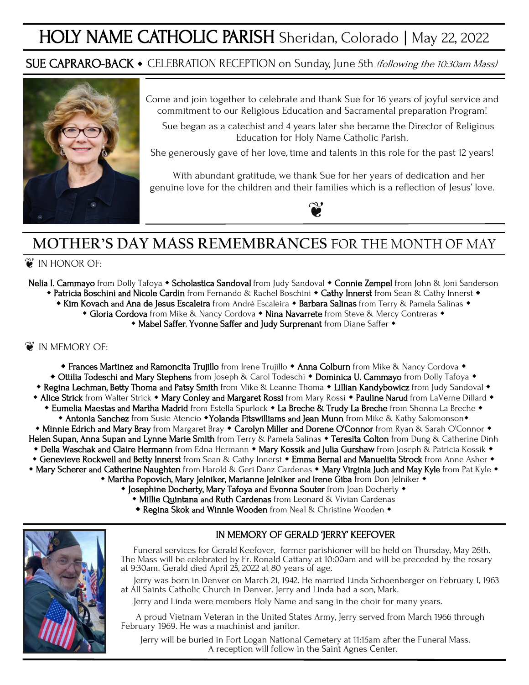# HOLY NAME CATHOLIC PARISH Sheridan, Colorado | May 22, 2022

## SUE CAPRARO-BACK • CELEBRATION RECEPTION on Sunday, June 5th (following the 10:30am Mass)



Come and join together to celebrate and thank Sue for 16 years of joyful service and commitment to our Religious Education and Sacramental preparation Program!

Sue began as a catechist and 4 years later she became the Director of Religious Education for Holy Name Catholic Parish.

She generously gave of her love, time and talents in this role for the past 12 years!

With abundant gratitude, we thank Sue for her years of dedication and her genuine love for the children and their families which is a reflection of Jesus' love.



# **MOTHER'S DAY MASS REMEMBRANCES** FOR THE MONTH OF MAY

#### $\mathcal{C}$  in honor of:

- Nelia I. Cammayo from Dolly Tafoya Scholastica Sandoval from Judy Sandoval Connie Zempel from John & Joni Sanderson
	- Patricia Boschini and Nicole Cardin from Fernando & Rachel Boschini Cathy Innerst from Sean & Cathy Innerst
		- \* Kim Kovach and Ana de Jesus Escaleira from André Escaleira \* Barbara Salinas from Terry & Pamela Salinas \*
			- Gloria Cordova from Mike & Nancy Cordova Nina Navarrete from Steve & Mercy Contreras
				- \* Mabel Saffer, Yvonne Saffer and Judy Surprenant from Diane Saffer \*

#### **i** IN MEMORY OF:

- **\* Frances Martinez and Ramoncita Trujillo** from Irene Trujillo **\* Anna Colburn** from Mike & Nancy Cordova **\***
- Ottilia Todeschi and Mary Stephens from Joseph & Carol Todeschi Dominica U. Cammayo from Dolly Tafoya •
- Regina Lechman, Betty Thoma and Patsy Smith from Mike & Leanne Thoma Lillian Kandybowicz from Judy Sandoval •
- \* Alice Strick from Walter Strick \* Mary Conley and Margaret Rossi from Mary Rossi \* Pauline Narud from LaVerne Dillard \*
- Eumelia Maestas and Martha Madrid from Estella Spurlock La Breche & Trudy La Breche from Shonna La Breche • Antonia Sanchez from Susie Atencio • Yolanda Fitswilliams and Jean Munn from Mike & Kathy Salomonson•
- Minnie Edrich and Mary Bray from Margaret Bray Carolyn Miller and Dorene O'Connor from Ryan & Sarah O'Connor Helen Supan, Anna Supan and Lynne Marie Smith from Terry & Pamela Salinas • Teresita Colton from Dung & Catherine Dinh
- Della Waschak and Claire Hermann from Edna Hermann Mary Kossik and Julia Gurshaw from Joseph & Patricia Kossik •
- Genevieve Rockwell and Betty Innerst from Sean & Cathy Innerst Emma Bernal and Manuelita Strock from Anne Asher •
- \* Mary Scherer and Catherine Naughten from Harold & Geri Danz Cardenas \* Mary Virginia Juch and May Kyle from Pat Kyle \*
	- Martha Popovich, Mary Jelniker, Marianne Jelniker and Irene Giba from Don Jelniker
		- Josephine Docherty, Mary Tafoya and Evonna Souter from Joan Docherty
			- **Millie Quintana and Ruth Cardenas** from Leonard & Vivian Cardenas
			- **\* Regina Skok and Winnie Wooden** from Neal & Christine Wooden  $\bullet$



#### IN MEMORY OF GERALD 'JERRY' KEEFOVER

Funeral services for Gerald Keefover, former parishioner will be held on Thursday, May 26th. The Mass will be celebrated by Fr. Ronald Cattany at 10:00am and will be preceded by the rosary at 9:30am. Gerald died April 25, 2022 at 80 years of age.

Jerry was born in Denver on March 21, 1942. He married Linda Schoenberger on February 1, 1963 at All Saints Catholic Church in Denver. Jerry and Linda had a son, Mark.

Jerry and Linda were members Holy Name and sang in the choir for many years.

 A proud Vietnam Veteran in the United States Army, Jerry served from March 1966 through February 1969. He was a machinist and janitor.

Jerry will be buried in Fort Logan National Cemetery at 11:15am after the Funeral Mass. A reception will follow in the Saint Agnes Center.